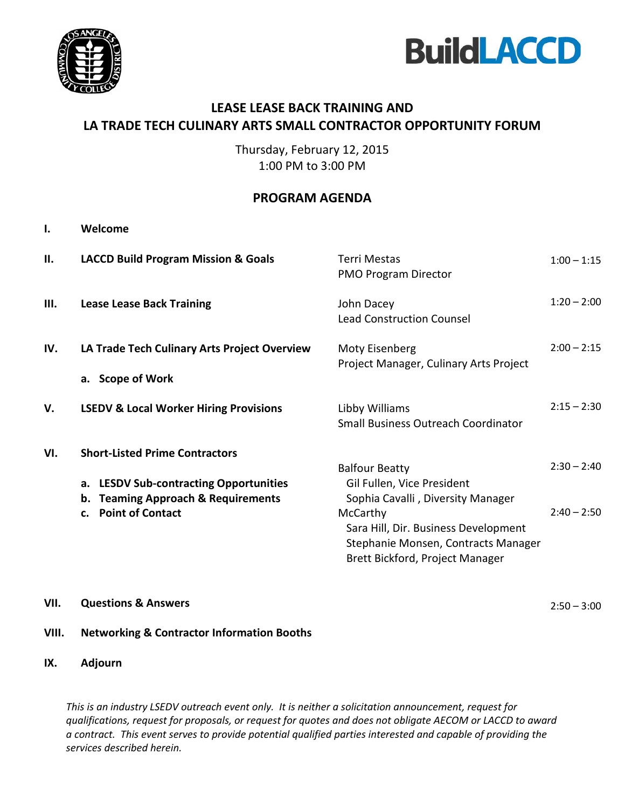



#### **LEASE LEASE BACK TRAINING AND LA TRADE TECH CULINARY ARTS SMALL CONTRACTOR OPPORTUNITY FORUM**

Thursday, February 12, 2015 1:00 PM to 3:00 PM

#### **PROGRAM AGENDA**

| I.  | Welcome                                                                                                                                                                   |                                                                                                                                                                                                                        |                                |
|-----|---------------------------------------------------------------------------------------------------------------------------------------------------------------------------|------------------------------------------------------------------------------------------------------------------------------------------------------------------------------------------------------------------------|--------------------------------|
| н.  | <b>LACCD Build Program Mission &amp; Goals</b>                                                                                                                            | <b>Terri Mestas</b><br><b>PMO Program Director</b>                                                                                                                                                                     | $1:00 - 1:15$                  |
| Ш.  | <b>Lease Lease Back Training</b>                                                                                                                                          | John Dacey<br><b>Lead Construction Counsel</b>                                                                                                                                                                         | $1:20 - 2:00$                  |
| IV. | LA Trade Tech Culinary Arts Project Overview<br>a. Scope of Work                                                                                                          | Moty Eisenberg<br>Project Manager, Culinary Arts Project                                                                                                                                                               | $2:00 - 2:15$                  |
| V.  | <b>LSEDV &amp; Local Worker Hiring Provisions</b>                                                                                                                         | Libby Williams<br>Small Business Outreach Coordinator                                                                                                                                                                  | $2:15 - 2:30$                  |
| VI. | <b>Short-Listed Prime Contractors</b><br><b>LESDV Sub-contracting Opportunities</b><br>а.<br>b. Teaming Approach & Requirements<br><b>Point of Contact</b><br>$c_{\cdot}$ | <b>Balfour Beatty</b><br>Gil Fullen, Vice President<br>Sophia Cavalli, Diversity Manager<br>McCarthy<br>Sara Hill, Dir. Business Development<br>Stephanie Monsen, Contracts Manager<br>Brett Bickford, Project Manager | $2:30 - 2:40$<br>$2:40 - 2:50$ |

**VII. Questions & Answers**

 $2:50 - 3:00$ 

#### **VIII. Networking & Contractor Information Booths**

**IX. Adjourn**

*This is an industry LSEDV outreach event only. It is neither a solicitation announcement, request for qualifications, request for proposals, or request for quotes and does not obligate AECOM or LACCD to award a contract. This event serves to provide potential qualified parties interested and capable of providing the services described herein.*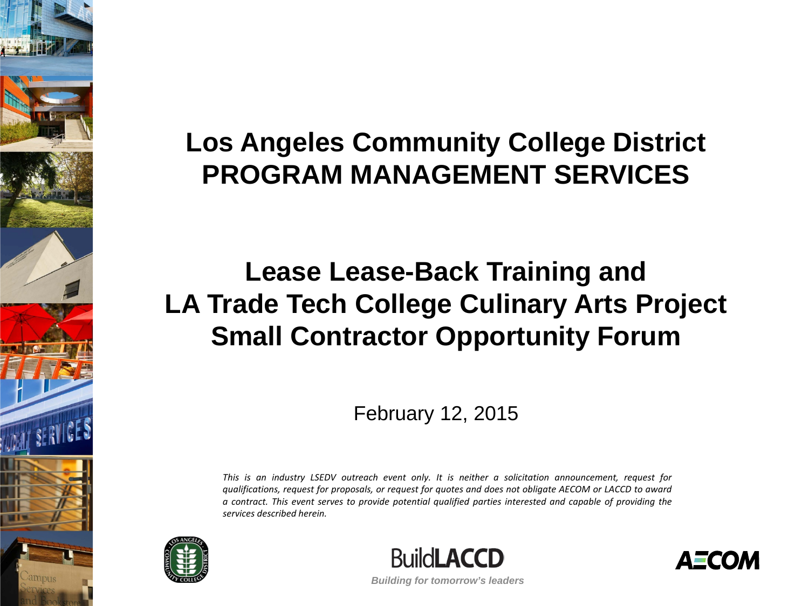### **Los Angeles Community College District PROGRAM MANAGEMENT SERVICES**

#### **Lease Lease-Back Training and LA Trade Tech College Culinary Arts Project Small Contractor Opportunity Forum**

February 12, 2015

*This is an industry LSEDV outreach event only. It is neither a solicitation announcement, request for* qualifications, request for proposals, or request for quotes and does not obligate AECOM or LACCD to award *a contract. This event serves to provide potential qualified parties interested and capable of providing the services described herein.*





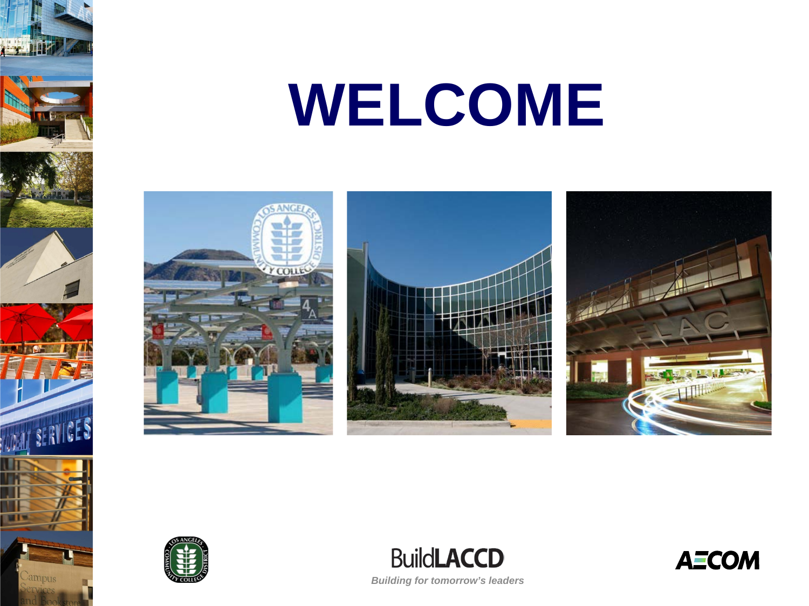





**WALL SERVICES** 

ampus



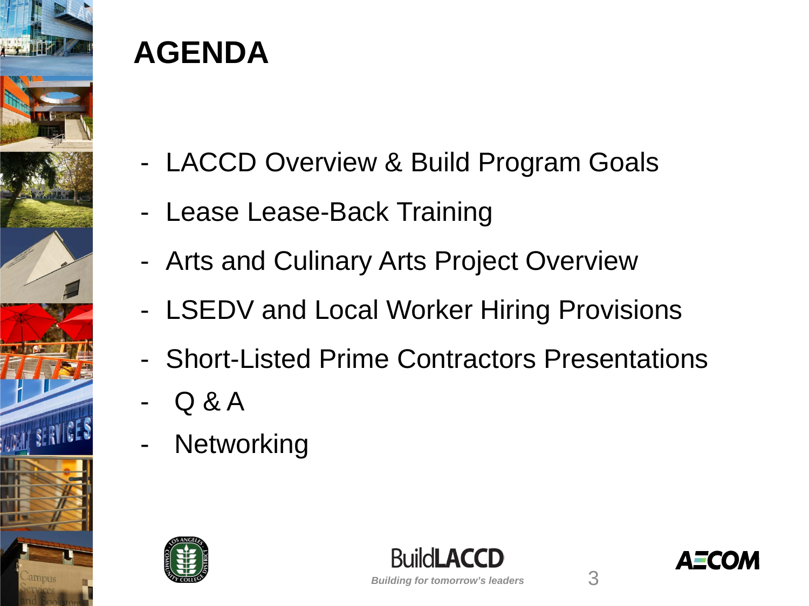

### **AGENDA**

- LACCD Overview & Build Program Goals
- Lease Lease-Back Training
- Arts and Culinary Arts Project Overview
- LSEDV and Local Worker Hiring Provisions
- Short-Listed Prime Contractors Presentations
- Q & A
- **Networking**





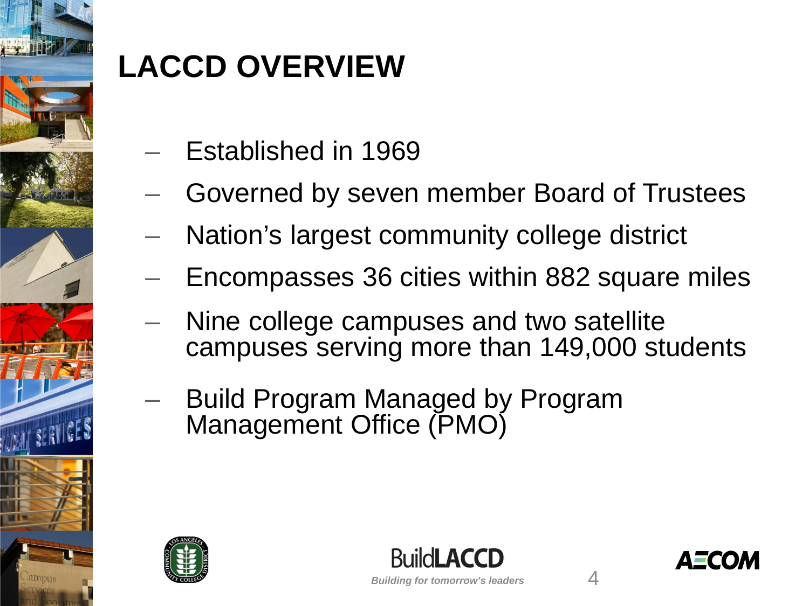

# **LACCD OVERVIEW**

- Established in 1969
- Governed by seven member Board of Trustees
- Nation's largest community college district
- Encompasses 36 cities within 882 square miles
- Nine college campuses and two satellite campuses serving more than 149,000 students
- Build Program Managed by Program Management Office (PMO)





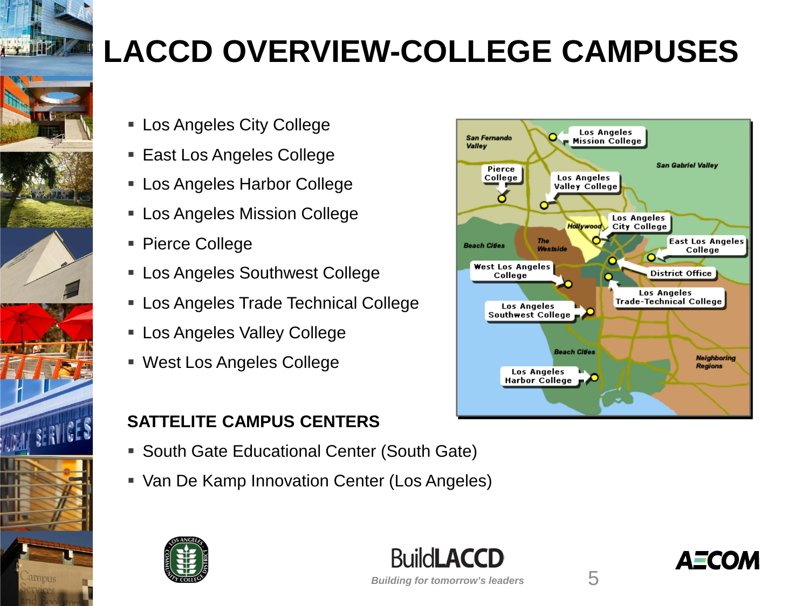

# **LACCD OVERVIEW-COLLEGE CAMPUSES**

- Los Angeles City College
- East Los Angeles College
- Los Angeles Harbor College
- **Los Angeles Mission College**
- Pierce College
- **Example 2 Southwest College**
- **Los Angeles Trade Technical College**
- **Los Angeles Valley College**
- West Los Angeles College

#### **SATTELITE CAMPUS CENTERS**

- **South Gate Educational Center (South Gate)**
- Van De Kamp Innovation Center (Los Angeles)







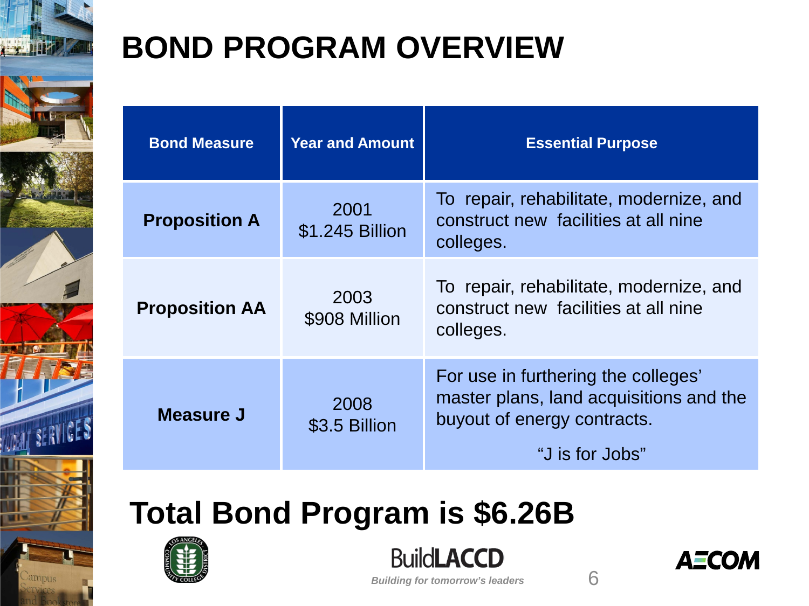

# **BOND PROGRAM OVERVIEW**

| <b>Bond Measure</b>   | <b>Year and Amount</b>  | <b>Essential Purpose</b>                                                                                                         |
|-----------------------|-------------------------|----------------------------------------------------------------------------------------------------------------------------------|
| <b>Proposition A</b>  | 2001<br>\$1.245 Billion | To repair, rehabilitate, modernize, and<br>construct new facilities at all nine<br>colleges.                                     |
| <b>Proposition AA</b> | 2003<br>\$908 Million   | To repair, rehabilitate, modernize, and<br>construct new facilities at all nine<br>colleges.                                     |
| <b>Measure J</b>      | 2008<br>\$3.5 Billion   | For use in furthering the colleges'<br>master plans, land acquisitions and the<br>buyout of energy contracts.<br>"J is for Jobs" |

# **Total Bond Program is \$6.26B**



**BuildLACCD** 

*Building for tomorrow's leaders*

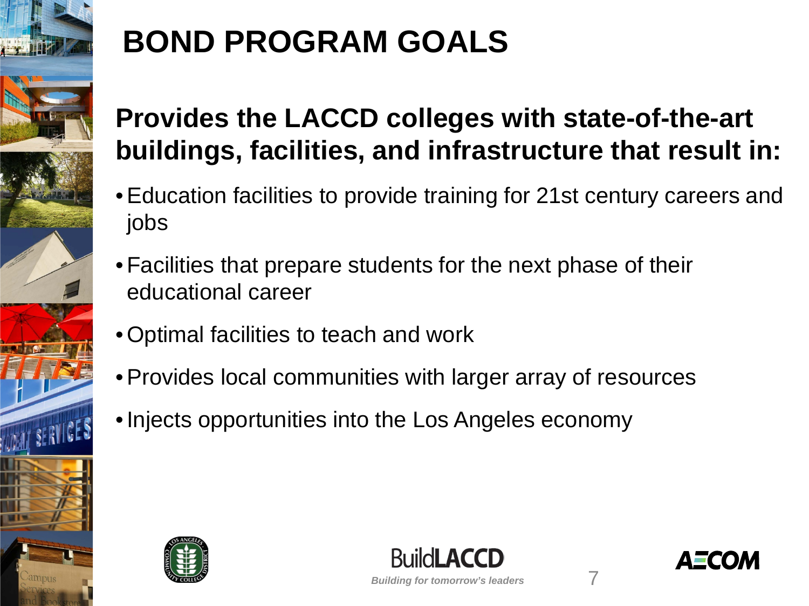

# **BOND PROGRAM GOALS**

### **Provides the LACCD colleges with state-of-the-art buildings, facilities, and infrastructure that result in:**

- •Education facilities to provide training for 21st century careers and jobs
- Facilities that prepare students for the next phase of their educational career
- Optimal facilities to teach and work
- •Provides local communities with larger array of resources
- •Injects opportunities into the Los Angeles economy





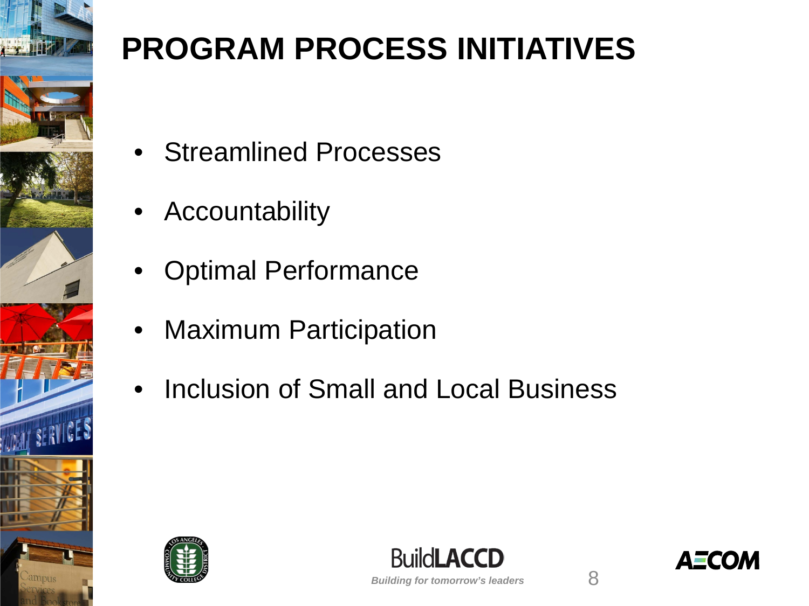

# **PROGRAM PROCESS INITIATIVES**

- Streamlined Processes
- Accountability
- Optimal Performance
- Maximum Participation
- Inclusion of Small and Local Business





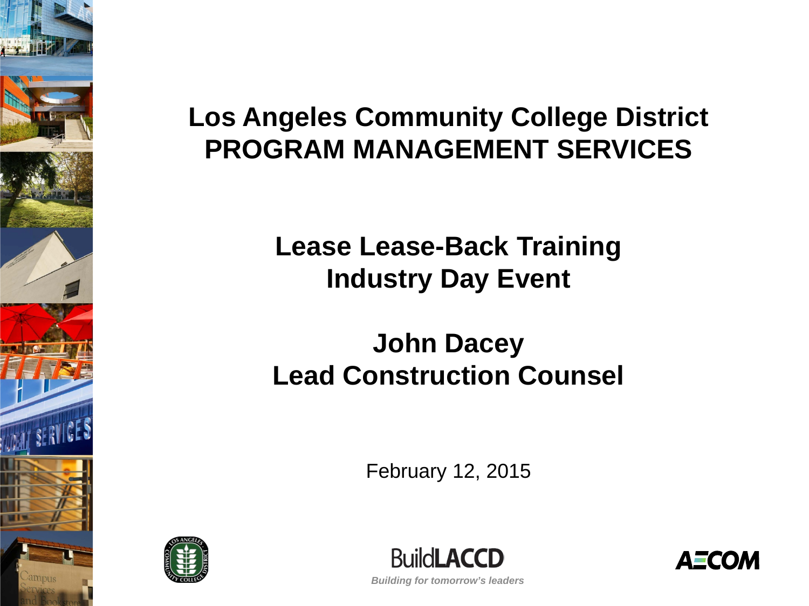

#### **Los Angeles Community College District PROGRAM MANAGEMENT SERVICES**

#### **Lease Lease-Back Training Industry Day Event**

#### **John Dacey Lead Construction Counsel**

February 12, 2015





**AECOM**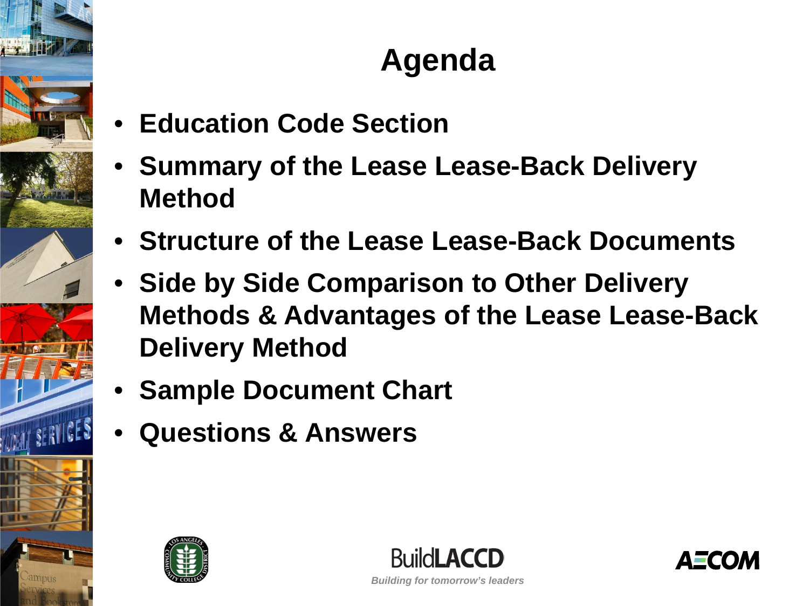

## **Agenda**

- **Education Code Section**
- **Summary of the Lease Lease-Back Delivery Method**
- **Structure of the Lease Lease-Back Documents**
- **Side by Side Comparison to Other Delivery Methods & Advantages of the Lease Lease-Back Delivery Method**
- **Sample Document Chart**
- **Questions & Answers**





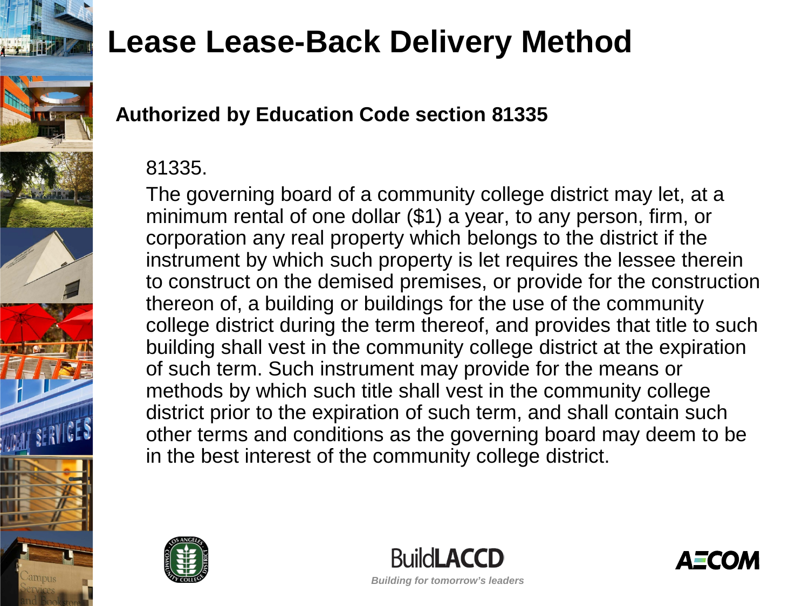

#### **Authorized by Education Code section 81335**

#### 81335.

The governing board of a community college district may let, at a minimum rental of one dollar (\$1) a year, to any person, firm, or corporation any real property which belongs to the district if the instrument by which such property is let requires the lessee therein to construct on the demised premises, or provide for the construction thereon of, a building or buildings for the use of the community college district during the term thereof, and provides that title to such building shall vest in the community college district at the expiration of such term. Such instrument may provide for the means or methods by which such title shall vest in the community college district prior to the expiration of such term, and shall contain such other terms and conditions as the governing board may deem to be in the best interest of the community college district.





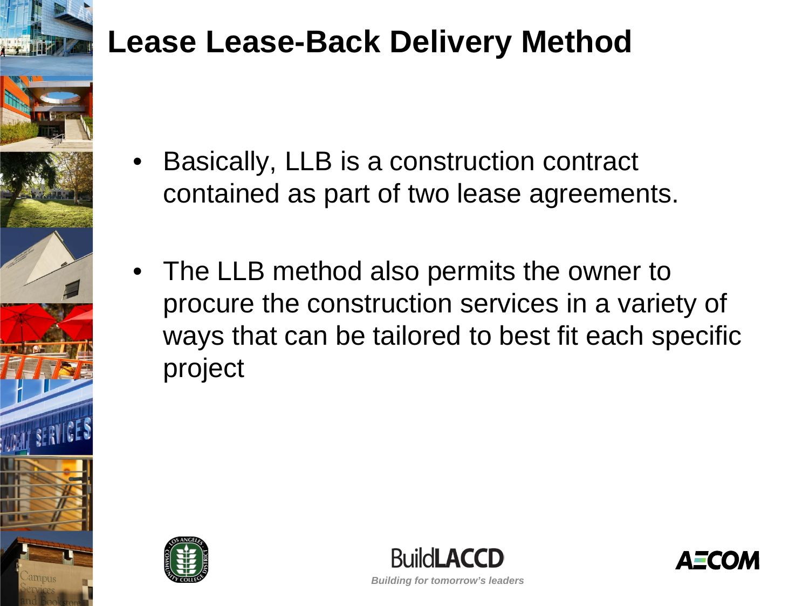

- Basically, LLB is a construction contract contained as part of two lease agreements.
- The LLB method also permits the owner to procure the construction services in a variety of ways that can be tailored to best fit each specific project





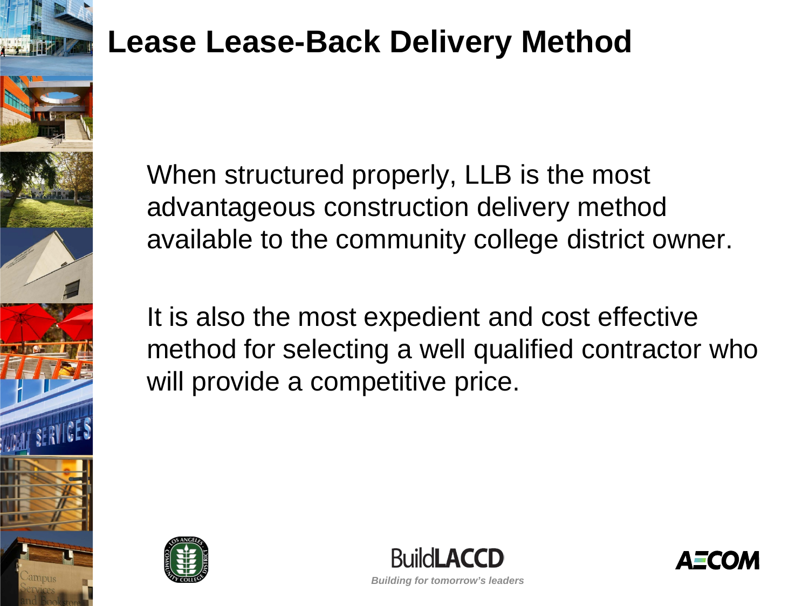

When structured properly, LLB is the most advantageous construction delivery method available to the community college district owner.

It is also the most expedient and cost effective method for selecting a well qualified contractor who will provide a competitive price.





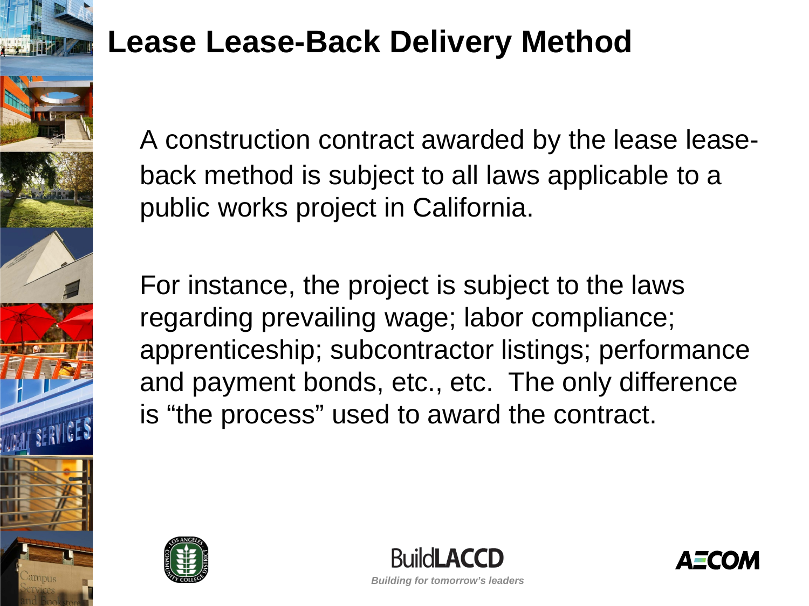

A construction contract awarded by the lease leaseback method is subject to all laws applicable to a public works project in California.

For instance, the project is subject to the laws regarding prevailing wage; labor compliance; apprenticeship; subcontractor listings; performance and payment bonds, etc., etc. The only difference is "the process" used to award the contract.





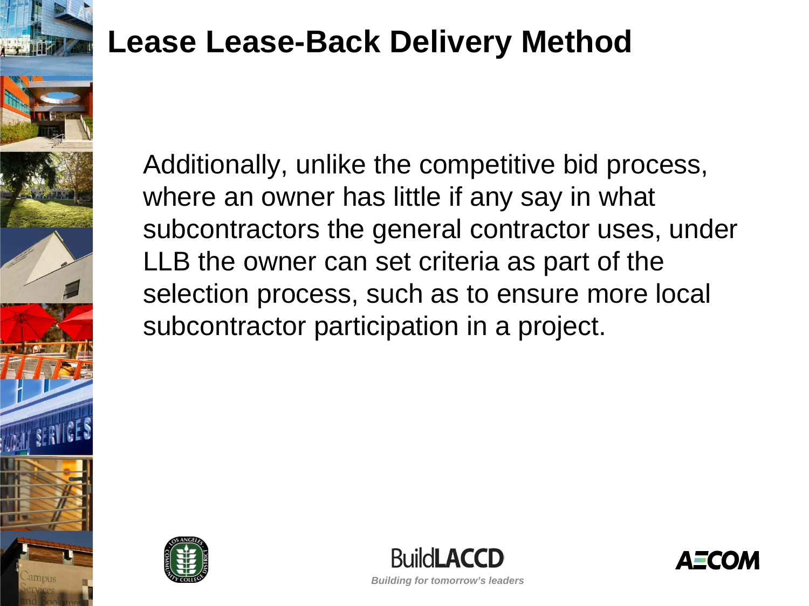

Additionally, unlike the competitive bid process, where an owner has little if any say in what subcontractors the general contractor uses, under LLB the owner can set criteria as part of the selection process, such as to ensure more local subcontractor participation in a project.





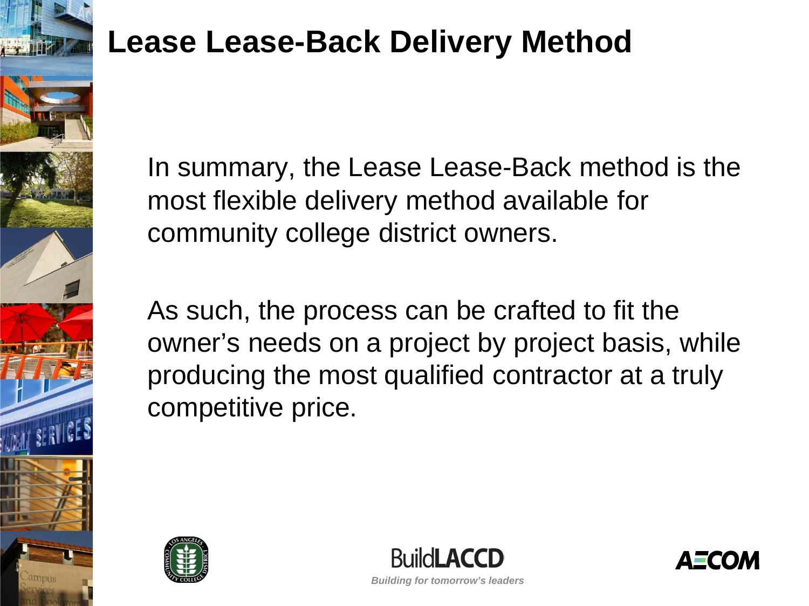

In summary, the Lease Lease-Back method is the most flexible delivery method available for community college district owners.

As such, the process can be crafted to fit the owner's needs on a project by project basis, while producing the most qualified contractor at a truly competitive price.





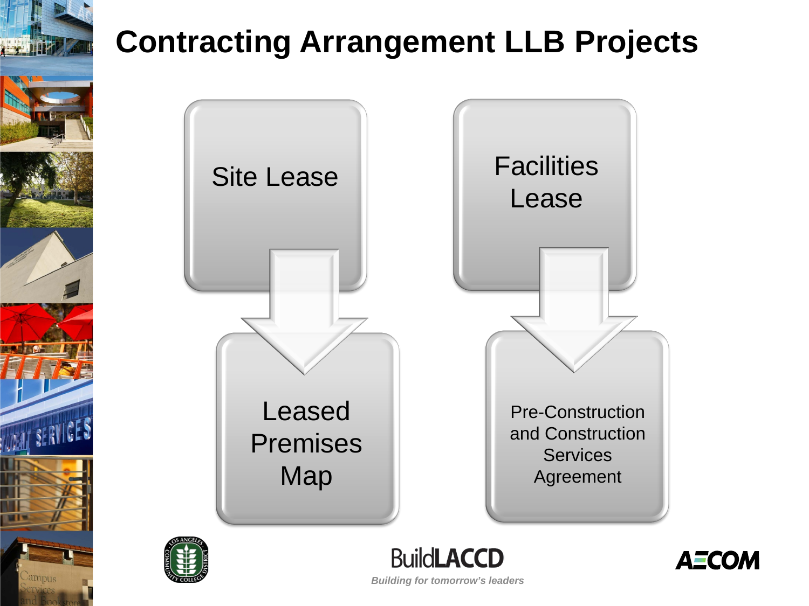

### **Contracting Arrangement LLB Projects**





**BuildLACCD** *Building for tomorrow's leaders*

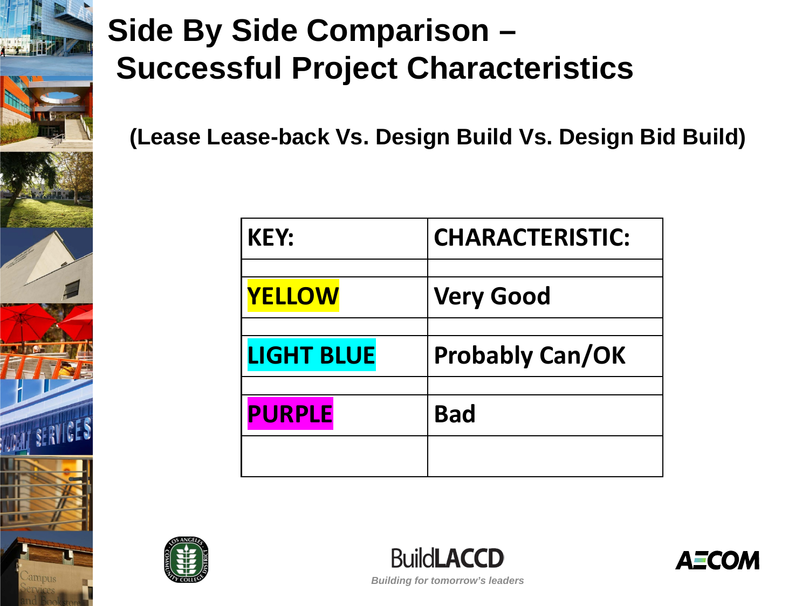

### **Side By Side Comparison – Successful Project Characteristics**

**(Lease Lease-back Vs. Design Build Vs. Design Bid Build)**

| <b>KEY:</b>       | <b>CHARACTERISTIC:</b> |
|-------------------|------------------------|
|                   |                        |
| <b>YELLOW</b>     | <b>Very Good</b>       |
|                   |                        |
| <b>LIGHT BLUE</b> | <b>Probably Can/OK</b> |
|                   |                        |
| <b>PURPLE</b>     | <b>Bad</b>             |
|                   |                        |





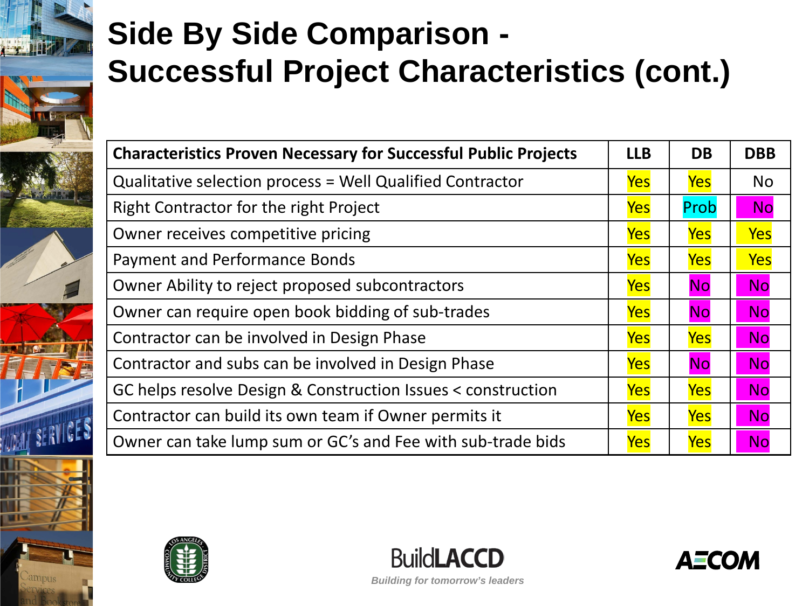# **Side By Side Comparison - Successful Project Characteristics (cont.)**

| <b>Characteristics Proven Necessary for Successful Public Projects</b> | <b>LLB</b> | <b>DB</b>  | <b>DBB</b> |
|------------------------------------------------------------------------|------------|------------|------------|
| Qualitative selection process = Well Qualified Contractor              | <b>Yes</b> | <b>Yes</b> | <b>No</b>  |
| Right Contractor for the right Project                                 | <b>Yes</b> | Prob       | <b>No</b>  |
| Owner receives competitive pricing                                     | <b>Yes</b> | Yes        | Yes        |
| Payment and Performance Bonds                                          | <b>Yes</b> | Yes        | <b>Yes</b> |
| Owner Ability to reject proposed subcontractors                        | <b>Yes</b> | <b>No</b>  | <b>No</b>  |
| Owner can require open book bidding of sub-trades                      | <b>Yes</b> | <b>No</b>  | <b>No</b>  |
| Contractor can be involved in Design Phase                             | <b>Yes</b> | <b>Yes</b> | <b>No</b>  |
| Contractor and subs can be involved in Design Phase                    | <b>Yes</b> | <b>No</b>  | <b>No</b>  |
| GC helps resolve Design & Construction Issues < construction           | <b>Yes</b> | <b>Yes</b> | <b>No</b>  |
| Contractor can build its own team if Owner permits it                  | Yes        | Yes        | <b>No</b>  |
| Owner can take lump sum or GC's and Fee with sub-trade bids            | <b>Yes</b> | Yes        | <b>No</b>  |





**BuildLACCD** *Building for tomorrow's leaders*

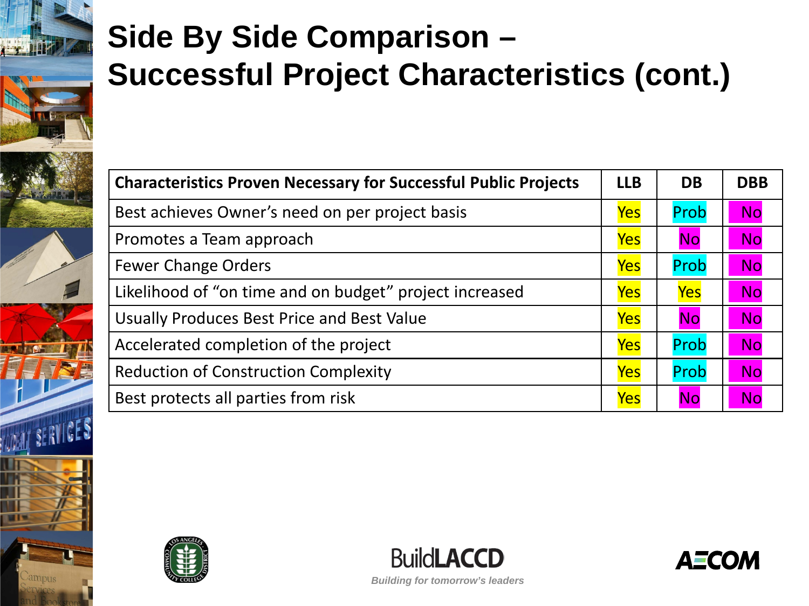# **Side By Side Comparison – Successful Project Characteristics (cont.)**

| <b>Characteristics Proven Necessary for Successful Public Projects</b> |            | <b>DB</b>  | <b>DBB</b> |
|------------------------------------------------------------------------|------------|------------|------------|
| Best achieves Owner's need on per project basis                        | <b>Yes</b> | Prob       | <b>No</b>  |
| Promotes a Team approach                                               | <b>Yes</b> | <b>No</b>  | <b>No</b>  |
| <b>Fewer Change Orders</b>                                             | Yes        | Prob       | <b>No</b>  |
| Likelihood of "on time and on budget" project increased                | Yes        | <b>Yes</b> | <b>No</b>  |
| Usually Produces Best Price and Best Value                             | <b>Yes</b> | <b>No</b>  | <b>No</b>  |
| Accelerated completion of the project                                  | <b>Yes</b> | Prob       | <b>No</b>  |
| <b>Reduction of Construction Complexity</b>                            | Yes        | Prob       | <b>No</b>  |
| Best protects all parties from risk                                    | <b>Yes</b> | <b>No</b>  | <b>No</b>  |





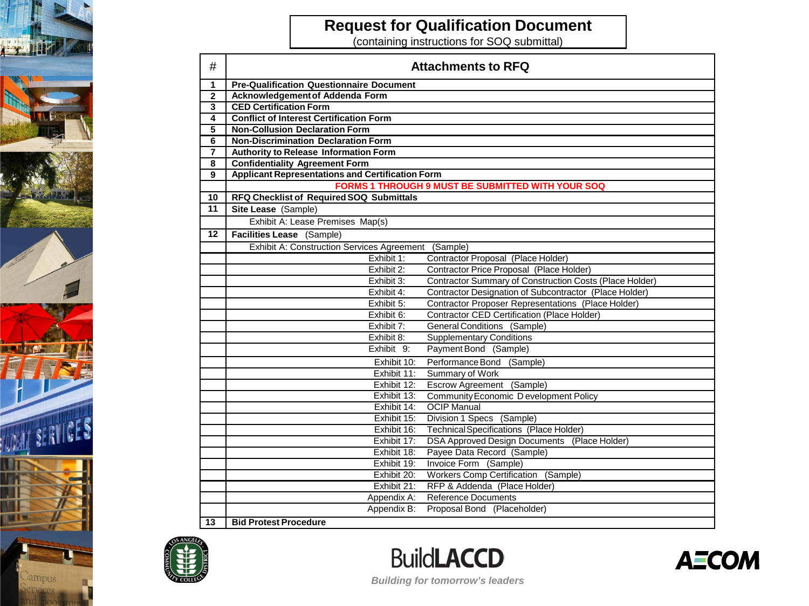



#### **Request for Qualification Document**

(containing instructions for SOQ submittal)

| #              | <b>Attachments to RFQ</b>                               |                                                           |
|----------------|---------------------------------------------------------|-----------------------------------------------------------|
| $\mathbf{1}$   | <b>Pre-Qualification Questionnaire Document</b>         |                                                           |
| $\mathbf{2}$   | Acknowledgement of Addenda Form                         |                                                           |
| 3              | <b>CED Certification Form</b>                           |                                                           |
| 4              | <b>Conflict of Interest Certification Form</b>          |                                                           |
| 5              | <b>Non-Collusion Declaration Form</b>                   |                                                           |
| 6              | <b>Non-Discrimination Declaration Form</b>              |                                                           |
| $\overline{7}$ | <b>Authority to Release Information Form</b>            |                                                           |
| 8              | <b>Confidentiality Agreement Form</b>                   |                                                           |
| $\overline{9}$ | <b>Applicant Representations and Certification Form</b> |                                                           |
|                |                                                         | FORMS 1 THROUGH 9 MUST BE SUBMITTED WITH YOUR SOQ         |
| 10             | RFQ Checklist of Required SOQ Submittals                |                                                           |
| 11             | Site Lease (Sample)                                     |                                                           |
|                | Exhibit A: Lease Premises Map(s)                        |                                                           |
| 12             | Facilities Lease (Sample)                               |                                                           |
|                | Exhibit A: Construction Services Agreement (Sample)     |                                                           |
|                | Exhibit 1:                                              | Contractor Proposal (Place Holder)                        |
|                | Exhibit 2:                                              | Contractor Price Proposal (Place Holder)                  |
|                | Exhibit 3:                                              | Contractor Summary of Construction Costs (Place Holder)   |
|                | Exhibit 4:                                              | Contractor Designation of Subcontractor (Place Holder)    |
|                | Exhibit 5:                                              | <b>Contractor Proposer Representations (Place Holder)</b> |
|                | Exhibit 6:                                              | <b>Contractor CED Certification (Place Holder)</b>        |
|                | Exhibit 7:                                              | General Conditions (Sample)                               |
|                | Exhibit 8:                                              | <b>Supplementary Conditions</b>                           |
|                | Exhibit 9:                                              | Payment Bond (Sample)                                     |
|                | Exhibit 10:                                             | Performance Bond (Sample)                                 |
|                | Exhibit 11:                                             | Summary of Work                                           |
|                | Exhibit 12:                                             | Escrow Agreement (Sample)                                 |
|                | Exhibit 13:                                             | Community Economic D evelopment Policy                    |
|                | Exhibit 14:                                             | <b>OCIP Manual</b>                                        |
|                | Exhibit 15:                                             | Division 1 Specs (Sample)                                 |
|                | Exhibit 16:                                             | <b>Technical Specifications</b> (Place Holder)            |
|                | Exhibit 17:                                             | DSA Approved Design Documents (Place Holder)              |
|                | Exhibit 18:                                             | Payee Data Record (Sample)                                |
|                | Exhibit 19:                                             | Invoice Form (Sample)                                     |
|                | Workers Comp Certification (Sample)<br>Exhibit 20:      |                                                           |
|                | Exhibit 21:                                             | RFP & Addenda (Place Holder)                              |
|                | Appendix A:                                             | <b>Reference Documents</b>                                |
|                | Appendix B:                                             | Proposal Bond (Placeholder)                               |
| 13             | <b>Bid Protest Procedure</b>                            |                                                           |





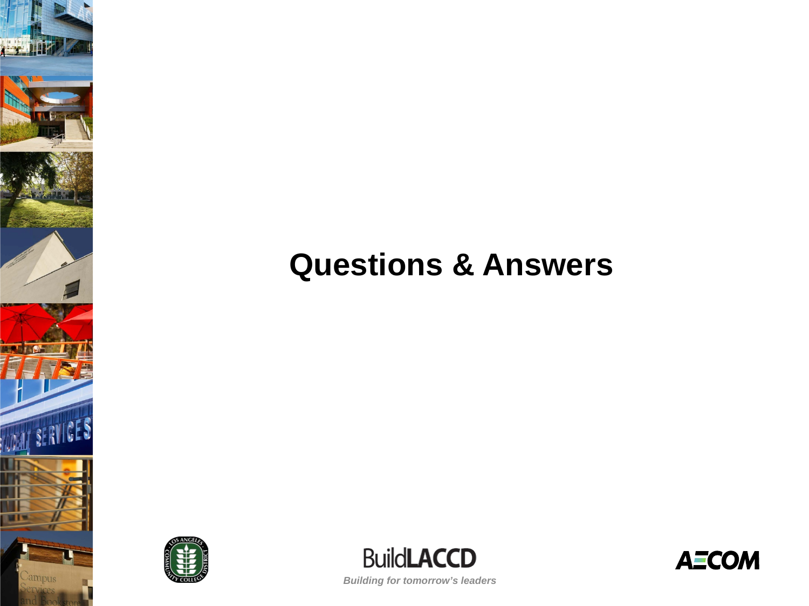### **Questions & Answers**



 $\frac{1}{2}$ 

**WALL SERVICES** 

ampus



**AECOM**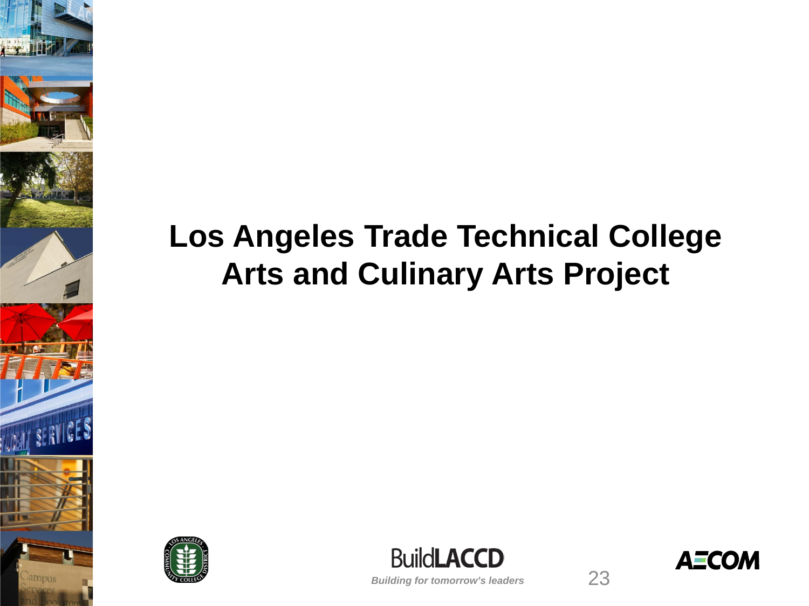### **Los Angeles Trade Technical College Arts and Culinary Arts Project**





**AECOM** 

23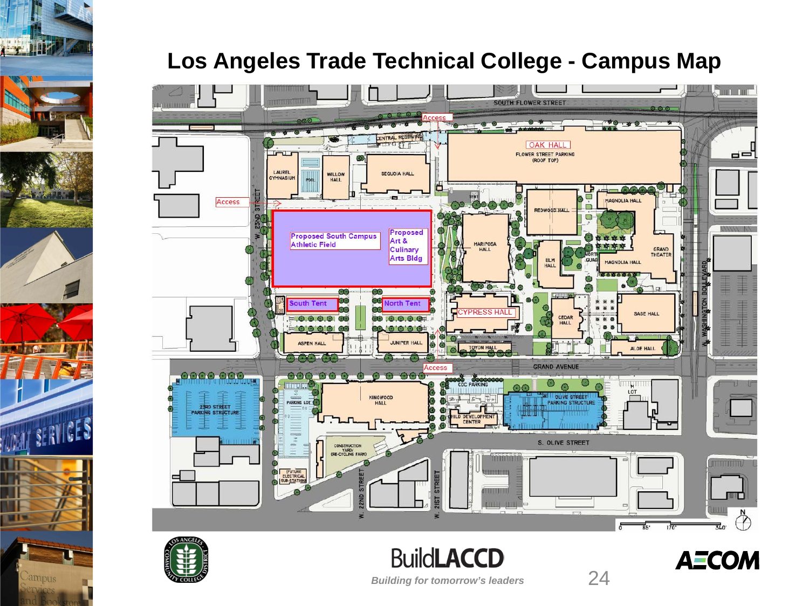

#### **Los Angeles Trade Technical College - Campus Map**





*Building for tomorrow's leaders*

**BuildLACCD** 

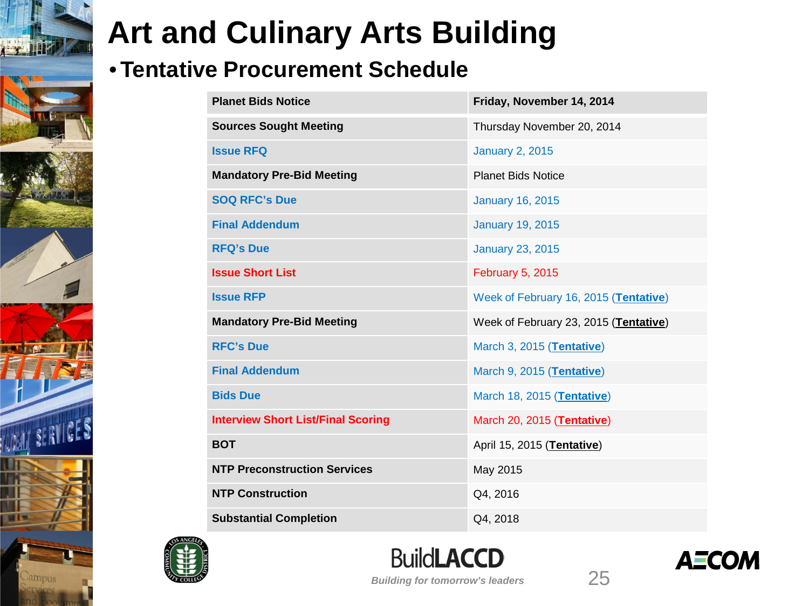#### • **Tentative Procurement Schedule**

| <b>Planet Bids Notice</b>                 | Friday, November 14, 2014             |  |
|-------------------------------------------|---------------------------------------|--|
| <b>Sources Sought Meeting</b>             | Thursday November 20, 2014            |  |
| <b>Issue RFQ</b>                          | <b>January 2, 2015</b>                |  |
| <b>Mandatory Pre-Bid Meeting</b>          | <b>Planet Bids Notice</b>             |  |
| <b>SOQ RFC's Due</b>                      | <b>January 16, 2015</b>               |  |
| <b>Final Addendum</b>                     | <b>January 19, 2015</b>               |  |
| <b>RFQ's Due</b>                          | <b>January 23, 2015</b>               |  |
| <b>Issue Short List</b>                   | <b>February 5, 2015</b>               |  |
| <b>Issue RFP</b>                          | Week of February 16, 2015 (Tentative) |  |
| <b>Mandatory Pre-Bid Meeting</b>          | Week of February 23, 2015 (Tentative) |  |
| <b>RFC's Due</b>                          | March 3, 2015 (Tentative)             |  |
| <b>Final Addendum</b>                     | March 9, 2015 (Tentative)             |  |
| <b>Bids Due</b>                           | March 18, 2015 (Tentative)            |  |
| <b>Interview Short List/Final Scoring</b> | March 20, 2015 (Tentative)            |  |
| <b>BOT</b>                                | April 15, 2015 (Tentative)            |  |
| <b>NTP Preconstruction Services</b>       | May 2015                              |  |
| <b>NTP Construction</b>                   | Q4, 2016                              |  |
| <b>Substantial Completion</b>             | Q4, 2018                              |  |



ampus



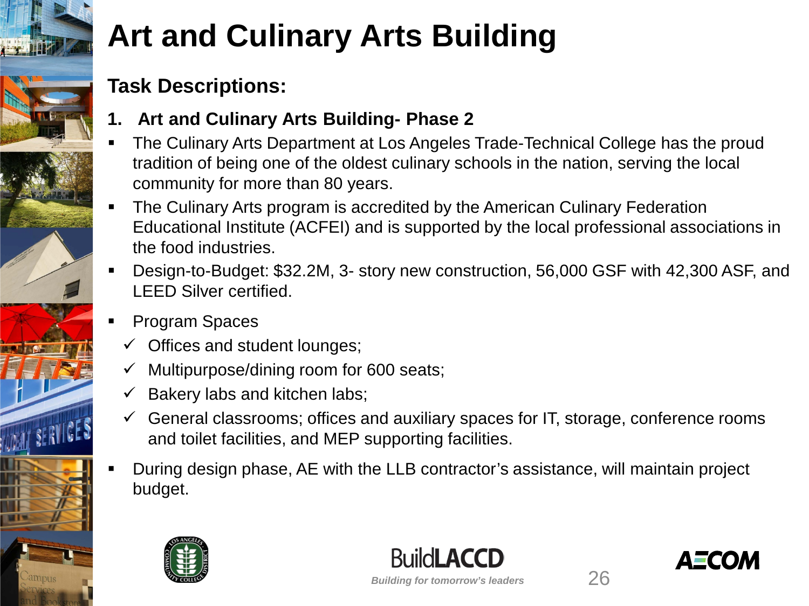#### **Task Descriptions:**

- **1. Art and Culinary Arts Building- Phase 2**
- The Culinary Arts Department at Los Angeles Trade-Technical College has the proud tradition of being one of the oldest culinary schools in the nation, serving the local community for more than 80 years.
- The Culinary Arts program is accredited by the American Culinary Federation Educational Institute (ACFEI) and is supported by the local professional associations in the food industries.
- Design-to-Budget: \$32.2M, 3- story new construction, 56,000 GSF with 42,300 ASF, and LEED Silver certified.
- Program Spaces
	- $\checkmark$  Offices and student lounges;
	- $\checkmark$  Multipurpose/dining room for 600 seats;
	- $\checkmark$  Bakery labs and kitchen labs;
	- $\checkmark$  General classrooms; offices and auxiliary spaces for IT, storage, conference rooms and toilet facilities, and MEP supporting facilities.
- During design phase, AE with the LLB contractor's assistance, will maintain project budget.





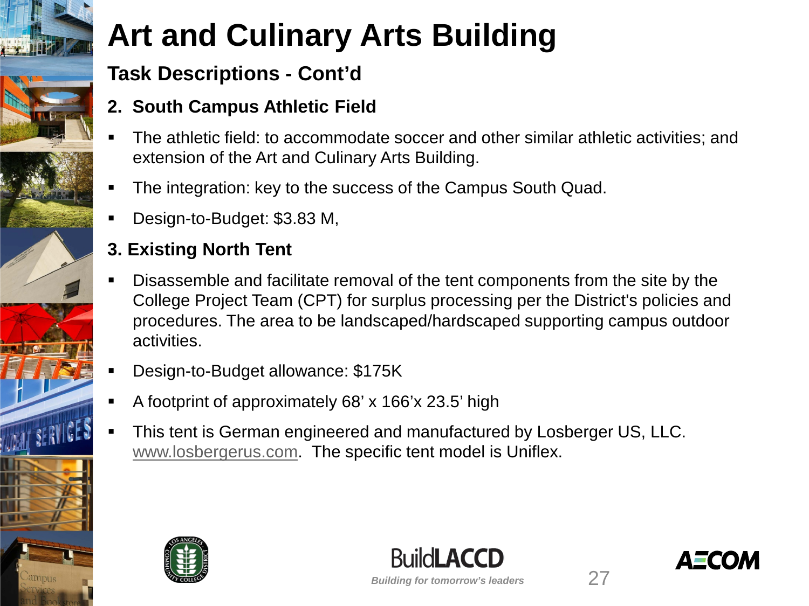#### **Task Descriptions - Cont'd**

#### **2. South Campus Athletic Field**

- The athletic field: to accommodate soccer and other similar athletic activities; and extension of the Art and Culinary Arts Building.
- The integration: key to the success of the Campus South Quad.
- Design-to-Budget: \$3.83 M,

#### **3. Existing North Tent**

- Disassemble and facilitate removal of the tent components from the site by the College Project Team (CPT) for surplus processing per the District's policies and procedures. The area to be landscaped/hardscaped supporting campus outdoor activities.
- Design-to-Budget allowance: \$175K
- A footprint of approximately 68' x 166'x 23.5' high
- This tent is German engineered and manufactured by Losberger US, LLC. [www.losbergerus.com](http://www.losbergerus.com/). The specific tent model is Uniflex.



*Building for tomorrow's leaders*

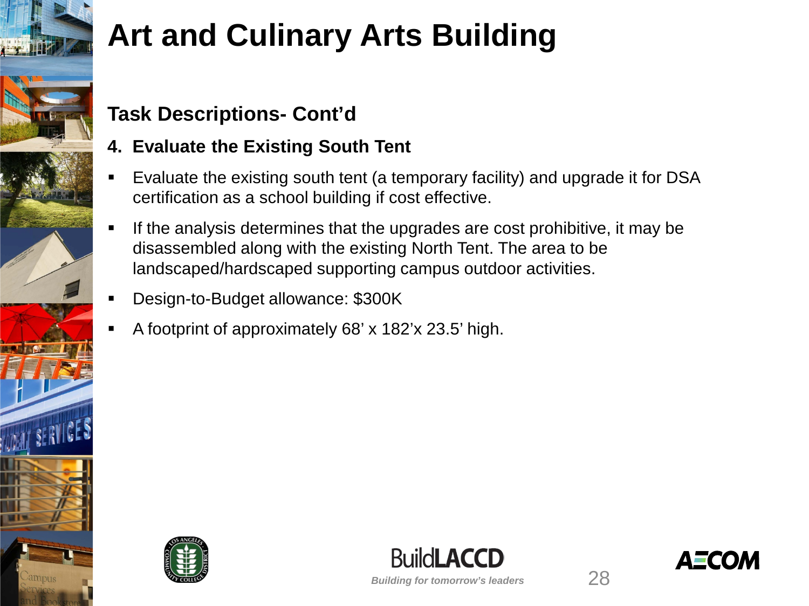

#### **Task Descriptions- Cont'd**

#### **4. Evaluate the Existing South Tent**

- Evaluate the existing south tent (a temporary facility) and upgrade it for DSA certification as a school building if cost effective.
- If the analysis determines that the upgrades are cost prohibitive, it may be disassembled along with the existing North Tent. The area to be landscaped/hardscaped supporting campus outdoor activities.
- Design-to-Budget allowance: \$300K
- A footprint of approximately 68' x 182'x 23.5' high.





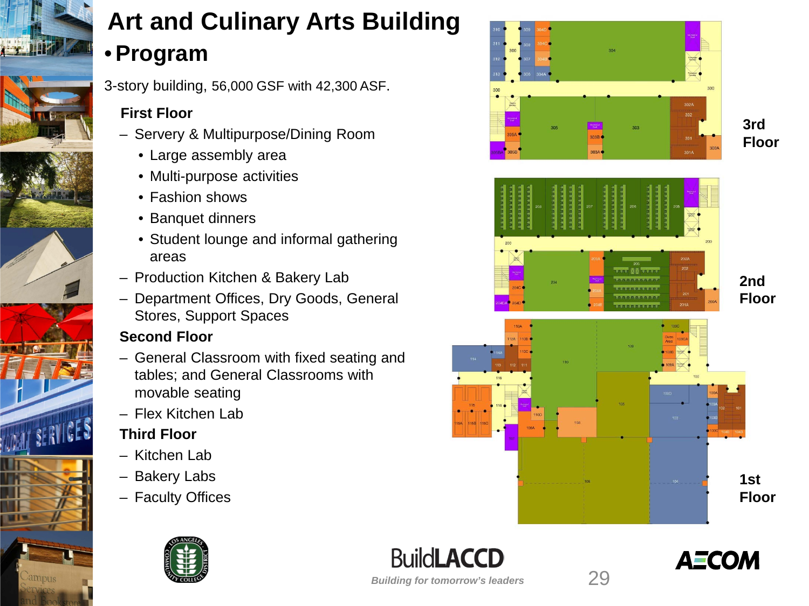

### **Art and Culinary Arts Building** •**Program**

3-story building, 56,000 GSF with 42,300 ASF.

#### **First Floor**

- Servery & Multipurpose/Dining Room
	- Large assembly area
	- Multi-purpose activities
	- Fashion shows
	- Banquet dinners
	- Student lounge and informal gathering areas
- Production Kitchen & Bakery Lab
- Department Offices, Dry Goods, General Stores, Support Spaces

#### **Second Floor**

- General Classroom with fixed seating and tables; and General Classrooms with movable seating
- Flex Kitchen Lab

#### **Third Floor**

- Kitchen Lab
- Bakery Labs
- Faculty Offices







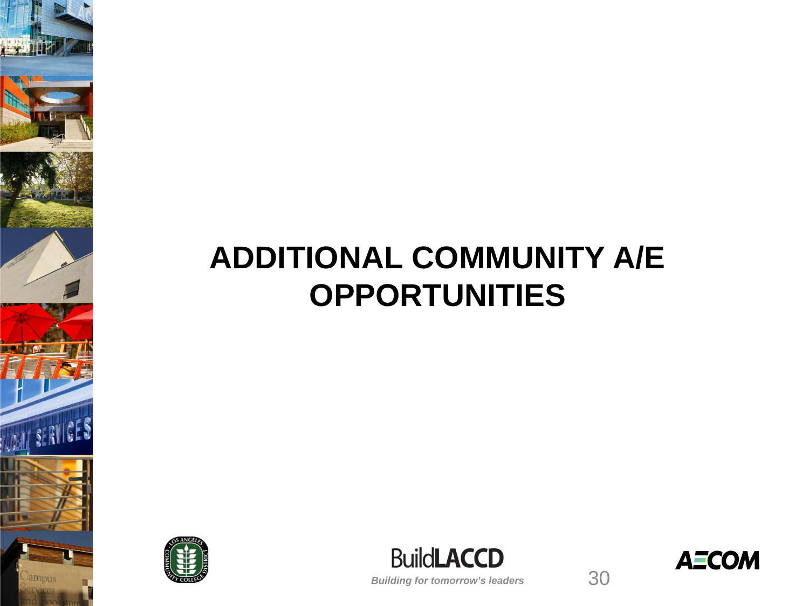### **ADDITIONAL COMMUNITY A/E OPPORTUNITIES**



IT SERVICE



*Building for tomorrow's leaders*

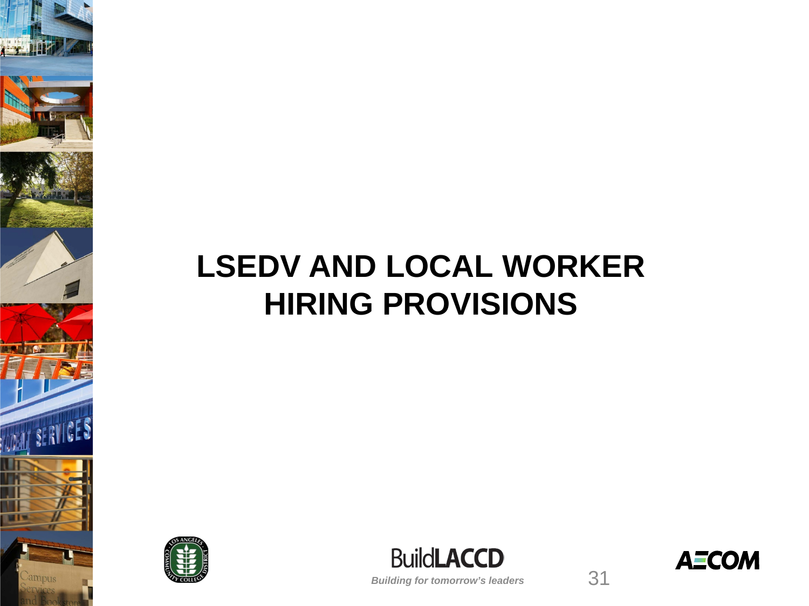## **LSEDV AND LOCAL WORKER HIRING PROVISIONS**



**SERVICE** 





*Building for tomorrow's leaders*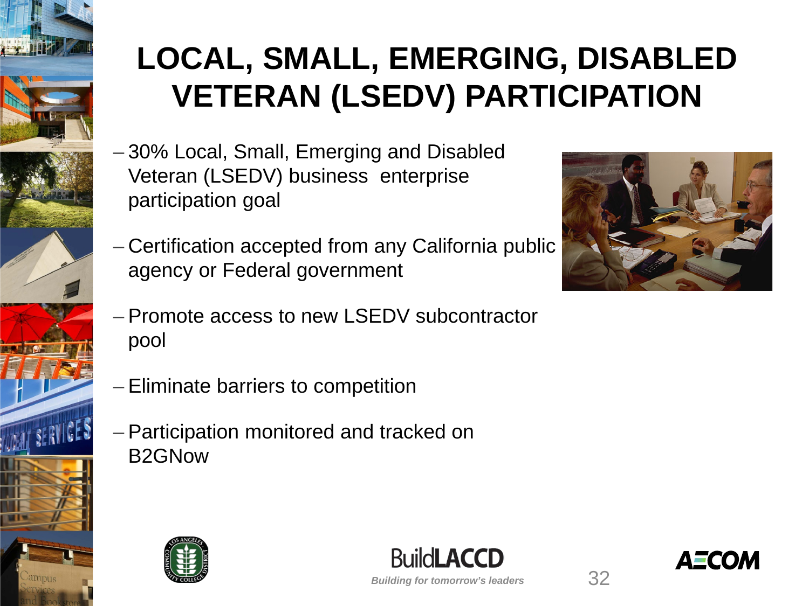

# **LOCAL, SMALL, EMERGING, DISABLED VETERAN (LSEDV) PARTICIPATION**

- 30% Local, Small, Emerging and Disabled Veteran (LSEDV) business enterprise participation goal
- Certification accepted from any California public agency or Federal government



- Promote access to new LSEDV subcontractor pool
- Eliminate barriers to competition
- Participation monitored and tracked on B2GNow





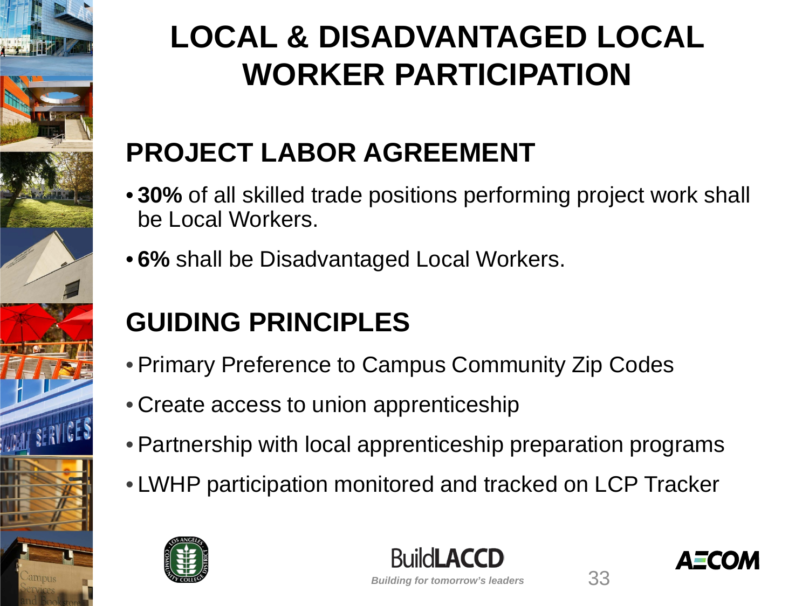

# **LOCAL & DISADVANTAGED LOCAL WORKER PARTICIPATION**

### **PROJECT LABOR AGREEMENT**

- **30%** of all skilled trade positions performing project work shall be Local Workers.
- **6%** shall be Disadvantaged Local Workers.

### **GUIDING PRINCIPLES**

- •Primary Preference to Campus Community Zip Codes
- Create access to union apprenticeship
- •Partnership with local apprenticeship preparation programs
- LWHP participation monitored and tracked on LCP Tracker





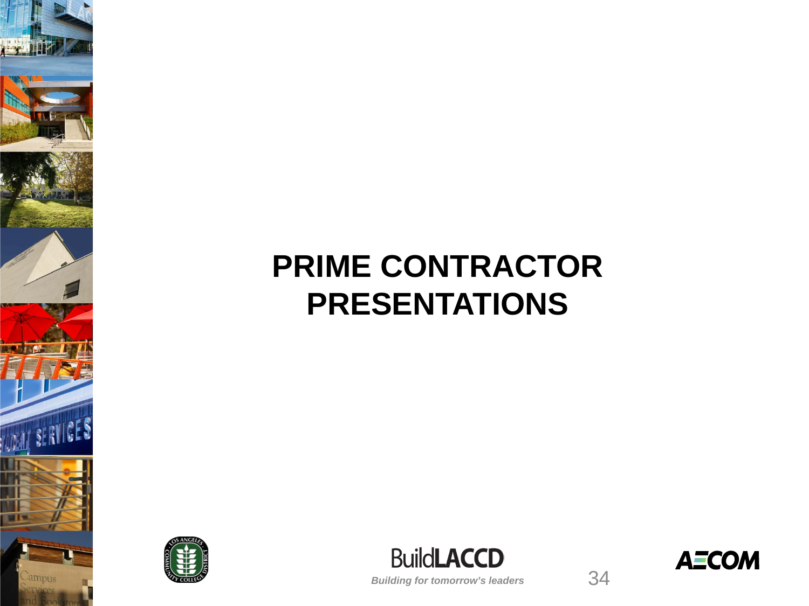### **PRIME CONTRACTOR PRESENTATIONS**



**WITSERVICES** 

ampus



**AECOM** 

34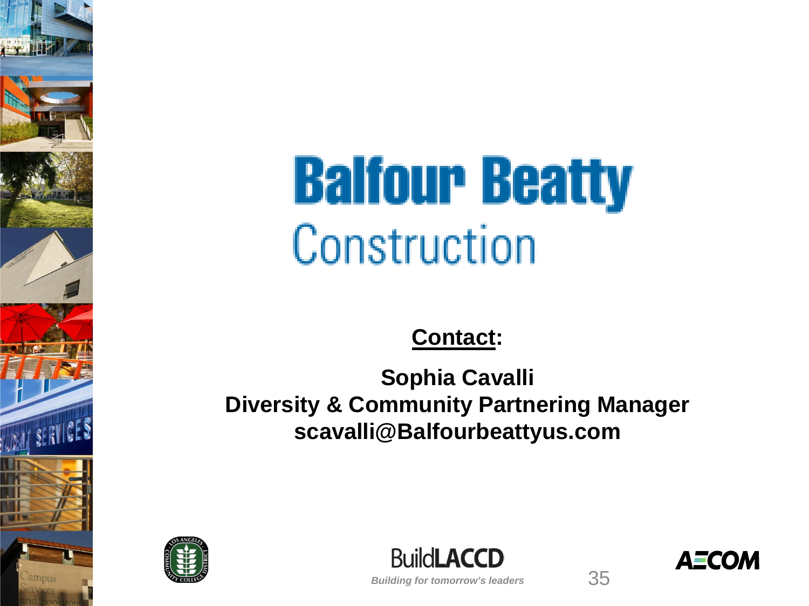

**Contact:**

**Sophia Cavalli Diversity & Community Partnering Manager scavalli@Balfourbeattyus.com**



**BuildLACCD** 

**AECOM**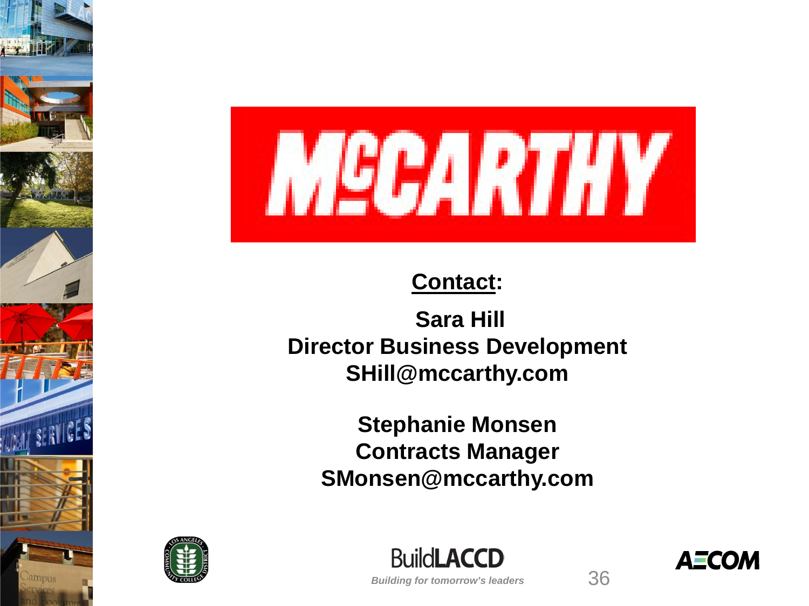

#### **Contact:**

**Sara Hill Director Business Development SHill@mccarthy.com**

**Stephanie Monsen Contracts Manager SMonsen@mccarthy.com**



**BuildLACCD** *Building for tomorrow's leaders* 36